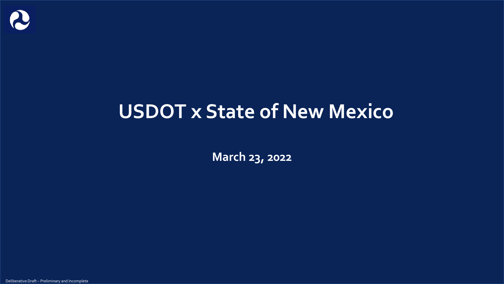

# **USDOT x State of New Mexico**

**March 23, 2022**

Deliberative Draft – Preliminary and Incomplete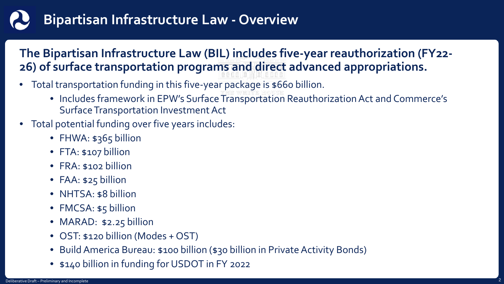## **Bipartisan Infrastructure Law - Overview**

#### **The Bipartisan Infrastructure Law (BIL) includes five-year reauthorization (FY22- 26) of surface transportation programs and direct advanced appropriations.**

- Total transportation funding in this five-year package is \$660 billion.
	- Includes framework in EPW's Surface Transportation Reauthorization Act and Commerce's Surface Transportation Investment Act
- Total potential funding over five years includes:
	- FHWA: \$365 billion
	- FTA: \$107 billion
	- FRA: \$102 billion
	- FAA: \$25 billion
	- NHTSA: \$8 billion
	- FMCSA: \$5 billion
	- MARAD: \$2.25 billion
	- OST: \$120 billion (Modes + OST)
	- Build America Bureau: \$100 billion (\$30 billion in Private Activity Bonds)
	- \$140 billion in funding for USDOT in FY 2022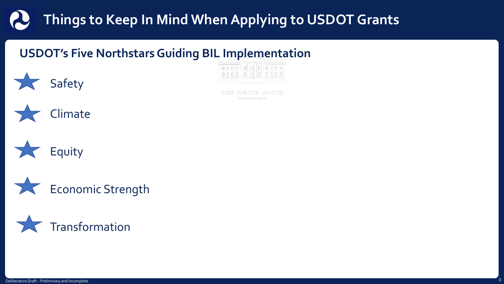### **Things to Keep In Mind When Applying to USDOT Grants**

#### **USDOT's Five Northstars Guiding BIL Implementation**



veitte eiouse WASEINGTON



**Safety** 





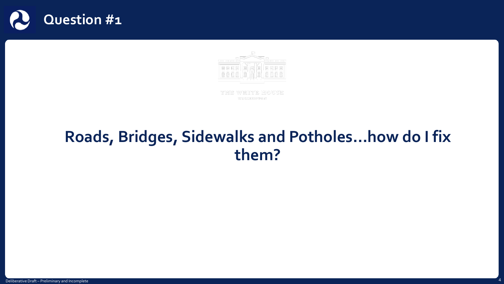



THE WHITE HOUSE WASHINGTON

#### **Roads, Bridges, Sidewalks and Potholes…how do I fix them?**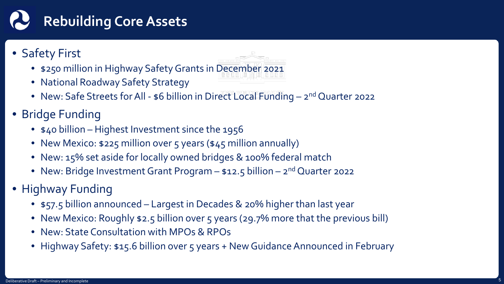# **Rebuilding Core Assets**

#### • Safety First

- \$250 million in Highway Safety Grants in December 2021
- National Roadway Safety Strategy
- New: Safe Streets for All \$6 billion in Direct Local Funding 2<sup>nd</sup> Quarter 2022
- Bridge Funding
	- \$40 billion Highest Investment since the 1956
	- New Mexico: \$225 million over 5 years (\$45 million annually)
	- New: 15% set aside for locally owned bridges & 100% federal match
	- New: Bridge Investment Grant Program  $-$  \$12.5 billion  $-$  2<sup>nd</sup> Quarter 2022
- Highway Funding
	- \$57.5 billion announced Largest in Decades & 20% higher than last year
	- New Mexico: Roughly \$2.5 billion over 5 years (29.7% more that the previous bill)
	- New: State Consultation with MPOs & RPOs
	- Highway Safety: \$15.6 billion over 5 years + New Guidance Announced in February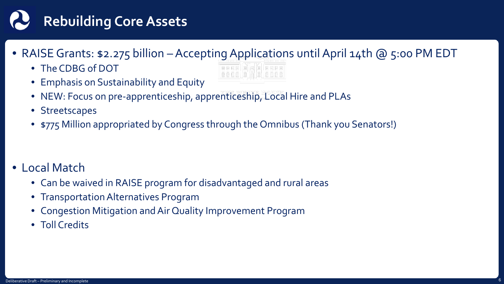## **Rebuilding Core Assets**

- RAISE Grants: \$2.275 billion Accepting Applications until April 14th @ 5:00 PM EDT
	- The CDBG of DOT
	- Emphasis on Sustainability and Equity



- NEW: Focus on pre-apprenticeship, apprenticeship, Local Hire and PLAs
- Streetscapes
- \$775 Million appropriated by Congress through the Omnibus (Thank you Senators!)

- Local Match
	- Can be waived in RAISE program for disadvantaged and rural areas
	- Transportation Alternatives Program
	- Congestion Mitigation and Air Quality Improvement Program
	- Toll Credits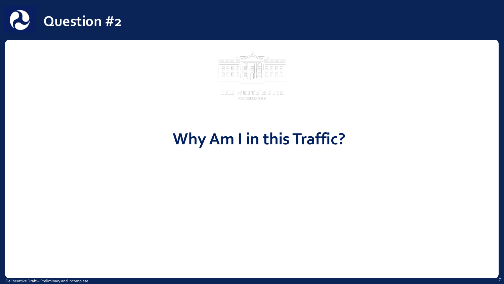



THE WHITE HOUSE WASHINGTON

### **Why Am I in this Traffic?**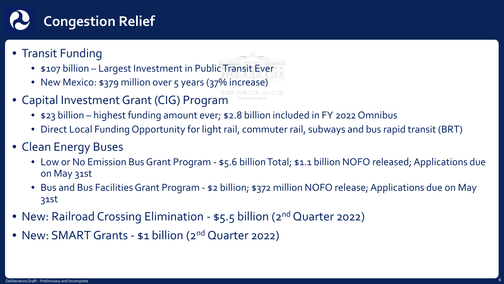

- Transit Funding
	- \$107 billion Largest Investment in Public Transit Ever
	- New Mexico: \$379 million over 5 years (37% increase)
- Capital Investment Grant (CIG) Program
	- \$23 billion highest funding amount ever; \$2.8 billion included in FY 2022 Omnibus
	- Direct Local Funding Opportunity for light rail, commuter rail, subways and bus rapid transit (BRT)
- Clean Energy Buses
	- Low or No Emission Bus Grant Program \$5.6 billion Total; \$1.1 billion NOFO released; Applications due on May 31st
	- Bus and Bus Facilities Grant Program \$2 billion; \$372 million NOFO release; Applications due on May 31st
- New: Railroad Crossing Elimination \$5.5 billion (2<sup>nd</sup> Quarter 2022)
- New: SMART Grants \$1 billion (2<sup>nd</sup> Quarter 2022)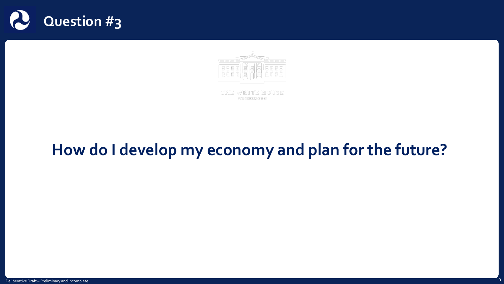



THE WHITE HOUSE WASHINGTON

### **How do I develop my economy and plan for the future?**

Deliberative Draft – Preliminary and Incomplete 9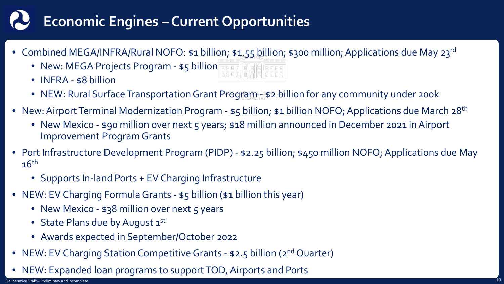### **Economic Engines – Current Opportunities**

- Combined MEGA/INFRA/Rural NOFO: \$1 billion; \$1.55 billion; \$300 million; Applications due May 23rd
	- New: MEGA Projects Program \$5 billion THE NAME THE
	- **INFRA** \$8 billion
	- NEW: Rural Surface Transportation Grant Program \$2 billion for any community under 200k
- New: Airport Terminal Modernization Program \$5 billion; \$1 billion NOFO; Applications due March 28<sup>th</sup>
	- New Mexico \$90 million over next 5 years; \$18 million announced in December 2021 in Airport Improvement Program Grants
- Port Infrastructure Development Program (PIDP) \$2.25 billion; \$450 million NOFO; Applications due May  $16<sup>th</sup>$ 
	- Supports In-land Ports + EV Charging Infrastructure
- NEW: EV Charging Formula Grants \$5 billion (\$1 billion this year)
	- New Mexico \$38 million over next 5 years
	- State Plans due by August 1st
	- Awards expected in September/October 2022
- NEW: EV Charging Station Competitive Grants \$2.5 billion (2<sup>nd</sup> Quarter)
- NEW: Expanded loan programs to support TOD, Airports and Ports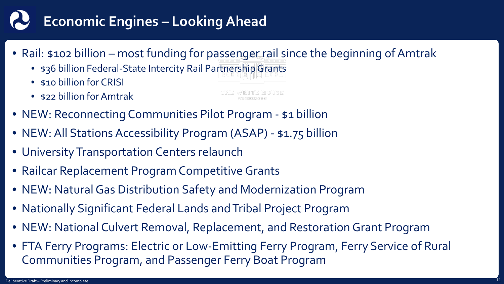## **Economic Engines – Looking Ahead**

- Rail: \$102 billion most funding for passenger rail since the beginning of Amtrak
	- \$36 billion Federal-State Intercity Rail Partnership Grants
	- \$10 billion for CRISI
	- \$22 billion for Amtrak
- NEW: Reconnecting Communities Pilot Program \$1 billion
- NEW: All Stations Accessibility Program (ASAP) \$1.75 billion
- University Transportation Centers relaunch
- Railcar Replacement Program Competitive Grants
- NEW: Natural Gas Distribution Safety and Modernization Program
- Nationally Significant Federal Lands and Tribal Project Program
- NEW: National Culvert Removal, Replacement, and Restoration Grant Program
- FTA Ferry Programs: Electric or Low-Emitting Ferry Program, Ferry Service of Rural Communities Program, and Passenger Ferry Boat Program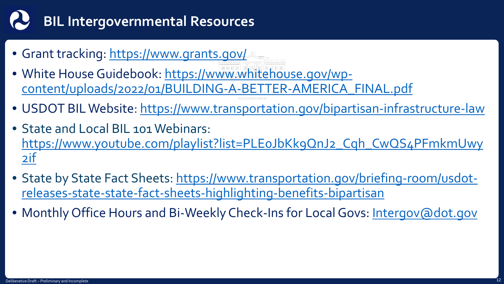# **BIL Intergovernmental Resources**

- Grant tracking:<https://www.grants.gov/>
- White House Guidebook: https://www.whitehouse.gov/wp[content/uploads/2022/01/BUILDING-A-BETTER-AMERICA\\_FINAL.pdf](https://www.whitehouse.gov/wp-content/uploads/2022/01/BUILDING-A-BETTER-AMERICA_FINAL.pdf)
- USDOT BIL Website:<https://www.transportation.gov/bipartisan-infrastructure-law>
- State and Local BIL 101 Webinars: https://www.youtube.com/playlist?list=PLEoJbKk9QnJ2\_Cqh\_CwQS4PFmkmUwy 2if
- [State by State Fact Sheets: https://www.transportation.gov/briefing-room/usdot](https://www.transportation.gov/briefing-room/usdot-releases-state-state-fact-sheets-highlighting-benefits-bipartisan)releases-state-state-fact-sheets-highlighting-benefits-bipartisan
- Monthly Office Hours and Bi-Weekly Check-Ins for Local Govs: [Intergov@dot.gov](mailto:Intergov@dot.gov)